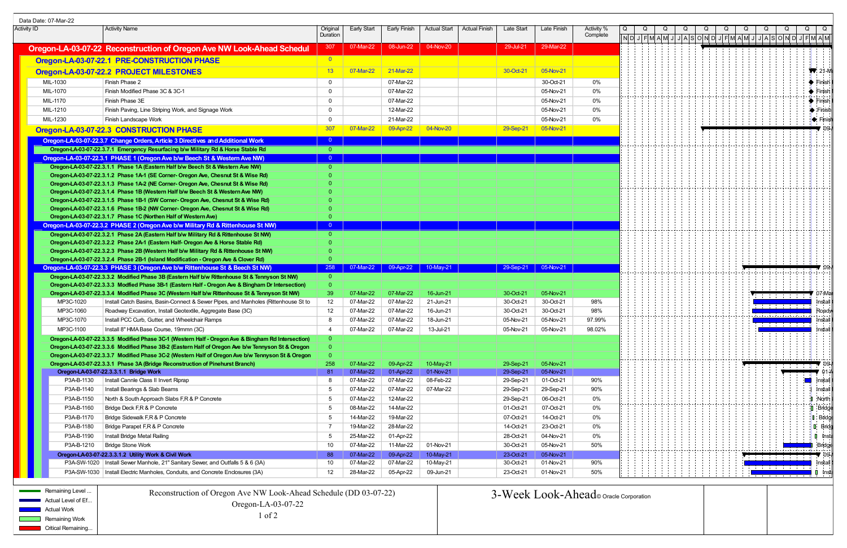|                                                          | Data Date: 07-Mar-22  |                                                                                                                                                                          |                      |                        |                        |                        |                      |                        |                                        |                        |   |  |  |  |                                                                    |   |                             |
|----------------------------------------------------------|-----------------------|--------------------------------------------------------------------------------------------------------------------------------------------------------------------------|----------------------|------------------------|------------------------|------------------------|----------------------|------------------------|----------------------------------------|------------------------|---|--|--|--|--------------------------------------------------------------------|---|-----------------------------|
| Activity ID                                              |                       | <b>Activity Name</b>                                                                                                                                                     | Original<br>Duration | Early Start            | Early Finish           | <b>Actual Start</b>    | <b>Actual Finish</b> | Late Start             | Late Finish                            | Activity %<br>Complete | Q |  |  |  |                                                                    | Q |                             |
|                                                          |                       |                                                                                                                                                                          |                      |                        |                        |                        |                      |                        |                                        |                        |   |  |  |  | ║N│D│J│F│M│A│M│J│J│A│S│O│N│D│J│F│M│A│M│J│J│A│S│O│N│D│ <sub>\</sub> |   |                             |
|                                                          |                       | Oregon-LA-03-07-22 Reconstruction of Oregon Ave NW Look-Ahead Schedul                                                                                                    | 307                  | 07-Mar-22              | 08-Jun-22              | 04-Nov-20              |                      | 29-Jul-21              | 29-Mar-22                              |                        |   |  |  |  |                                                                    |   |                             |
|                                                          |                       | Oregon-LA-03-07-22.1 PRE-CONSTRUCTION PHASE                                                                                                                              | $\overline{0}$       |                        |                        |                        |                      |                        |                                        |                        |   |  |  |  |                                                                    |   |                             |
|                                                          |                       | Oregon-LA-03-07-22.2 PROJECT MILESTONES                                                                                                                                  | 13                   | 07-Mar-22              | 21-Mar-22              |                        |                      | 30-Oct-21              | 05-Nov-21                              |                        |   |  |  |  |                                                                    |   | $\sqrt{21-N}$               |
|                                                          | MIL-1030              | Finish Phase 2                                                                                                                                                           | - 0                  |                        | 07-Mar-22              |                        |                      |                        | 30-Oct-21                              | 0%                     |   |  |  |  |                                                                    |   | $\blacklozenge$ Finish      |
|                                                          | MIL-1070              | Finish Modified Phase 3C & 3C-1                                                                                                                                          | - 0                  |                        | 07-Mar-22              |                        |                      |                        | 05-Nov-21                              | 0%                     |   |  |  |  |                                                                    |   | $\bullet$ Finish            |
|                                                          | MIL-1170              | Finish Phase 3E                                                                                                                                                          | $\overline{0}$       |                        | 07-Mar-22              |                        |                      |                        | 05-Nov-21                              | 0%                     |   |  |  |  |                                                                    |   | $\blacklozenge$ Finish      |
|                                                          | MIL-1210              | Finish Paving, Line Striping Work, and Signage Work                                                                                                                      | $\Omega$             |                        | 12-Mar-22              |                        |                      |                        | 05-Nov-21                              | 0%                     |   |  |  |  |                                                                    |   | I <sup>→</sup> Finish       |
|                                                          | MIL-1230              | Finish Landscape Work                                                                                                                                                    | - 0                  |                        | 21-Mar-22              |                        |                      |                        | 05-Nov-21                              | $0\%$                  |   |  |  |  |                                                                    |   | $\blacktriangleright$ Finis |
|                                                          |                       | Oregon-LA-03-07-22.3 CONSTRUCTION PHASE                                                                                                                                  | 307                  | 07-Mar-22              | 09-Apr-22              | 04-Nov-20              |                      | 29-Sep-21              | 05-Nov-21                              |                        |   |  |  |  |                                                                    |   |                             |
|                                                          |                       | Oregon-LA-03-07-22.3.7 Change Orders, Article 3 Directives and Additional Work                                                                                           | - 0                  |                        |                        |                        |                      |                        |                                        |                        |   |  |  |  |                                                                    |   |                             |
|                                                          |                       | Oregon-LA-03-07-22.3.7.1 Emergency Resurfacing b/w Military Rd & Horse Stable Rd                                                                                         | $\overline{0}$       |                        |                        |                        |                      |                        |                                        |                        |   |  |  |  |                                                                    |   |                             |
|                                                          |                       | Oregon-LA-03-07-22.3.1 PHASE 1 (Oregon Ave b/w Beech St & Western Ave NW)                                                                                                |                      |                        |                        |                        |                      |                        |                                        |                        |   |  |  |  |                                                                    |   |                             |
|                                                          |                       | Oregon-LA-03-07-22.3.1.1 Phase 1A (Eastern Half b/w Beech St & Western Ave NW)                                                                                           | $\Omega$             |                        |                        |                        |                      |                        |                                        |                        |   |  |  |  |                                                                    |   |                             |
|                                                          |                       | Oregon-LA-03-07-22.3.1.2 Phase 1A-1 (SE Corner- Oregon Ave, Chesnut St & Wise Rd)                                                                                        |                      |                        |                        |                        |                      |                        |                                        |                        |   |  |  |  |                                                                    |   |                             |
|                                                          |                       | Oregon-LA-03-07-22.3.1.3 Phase 1A-2 (NE Corner- Oregon Ave, Chesnut St & Wise Rd)                                                                                        |                      |                        |                        |                        |                      |                        |                                        |                        |   |  |  |  |                                                                    |   |                             |
|                                                          |                       | Oregon-LA-03-07-22.3.1.4 Phase 1B (Western Half b/w Beech St & Western Ave NW)                                                                                           |                      |                        |                        |                        |                      |                        |                                        |                        |   |  |  |  |                                                                    |   |                             |
|                                                          |                       | Oregon-LA-03-07-22.3.1.5 Phase 1B-1 (SW Corner- Oregon Ave, Chesnut St & Wise Rd)                                                                                        |                      |                        |                        |                        |                      |                        |                                        |                        |   |  |  |  |                                                                    |   |                             |
|                                                          |                       | Oregon-LA-03-07-22.3.1.6 Phase 1B-2 (NW Corner- Oregon Ave, Chesnut St & Wise Rd)                                                                                        |                      |                        |                        |                        |                      |                        |                                        |                        |   |  |  |  |                                                                    |   |                             |
|                                                          |                       | Oregon-LA-03-07-22.3.1.7 Phase 1C (Northen Half of Western Ave)                                                                                                          |                      |                        |                        |                        |                      |                        |                                        |                        |   |  |  |  |                                                                    |   |                             |
|                                                          |                       | Oregon-LA-03-07-22.3.2 PHASE 2 (Oregon Ave b/w Military Rd & Rittenhouse St NW)                                                                                          |                      |                        |                        |                        |                      |                        |                                        |                        |   |  |  |  |                                                                    |   |                             |
|                                                          |                       | Oregon-LA-03-07-22.3.2.1 Phase 2A (Eastern Half b/w Military Rd & Rittenhouse St NW)                                                                                     | $\overline{0}$       |                        |                        |                        |                      |                        |                                        |                        |   |  |  |  |                                                                    |   |                             |
|                                                          |                       | Oregon-LA-03-07-22.3.2.2 Phase 2A-1 (Eastern Half- Oregon Ave & Horse Stable Rd)<br>Oregon-LA-03-07-22.3.2.3 Phase 2B (Western Half b/w Military Rd & Rittenhouse St NW) |                      |                        |                        |                        |                      |                        |                                        |                        |   |  |  |  |                                                                    |   |                             |
|                                                          |                       | Oregon-LA-03-07-22.3.2.4 Phase 2B-1 (Island Modification - Oregon Ave & Clover Rd)                                                                                       |                      |                        |                        |                        |                      |                        |                                        |                        |   |  |  |  |                                                                    |   |                             |
|                                                          |                       | Oregon-LA-03-07-22.3.3 PHASE 3 (Oregon Ave b/w Rittenhouse St & Beech St NW)                                                                                             | 258                  | 07-Mar-22              | 09-Apr-22              | 10-May-21              |                      | 29-Sep-21              | 05-Nov-21                              |                        |   |  |  |  |                                                                    |   |                             |
|                                                          |                       | Oregon-LA-03-07-22.3.3.2 Modified Phase 3B (Eastern Half b/w Rittenhouse St & Tennyson St NW)                                                                            | $\overline{0}$       |                        |                        |                        |                      |                        |                                        |                        |   |  |  |  |                                                                    |   |                             |
|                                                          |                       | Oregon-LA-03-07-22.3.3.3 Modfied Phase 3B-1 (Eastern Half - Oregon Ave & Bingham Dr Intersection)                                                                        | - 0                  |                        |                        |                        |                      |                        |                                        |                        |   |  |  |  |                                                                    |   |                             |
|                                                          |                       | Oregon-LA-03-07-22.3.3.4 Modified Phase 3C (Western Half b/w Rittenhouse St & Tennyson St NW)                                                                            | 39                   | 07-Mar-22              | 07-Mar-22              | 16-Jun-21              |                      | 30-Oct-21              | 05-Nov-21                              |                        |   |  |  |  |                                                                    |   | .07-M                       |
|                                                          | MP3C-1020             | Install Catch Basins, Basin-Connect & Sewer Pipes, and Manholes (Rittenhouse St to                                                                                       | 12                   | 07-Mar-22              | 07-Mar-22              | 21-Jun-21              |                      | 30-Oct-21              | 30-Oct-21                              | 98%                    |   |  |  |  | and the state of the state of the                                  |   | lnstall                     |
|                                                          | MP3C-1060             | Roadway Excavation, Install Geotextile, Aggregate Base (3C)                                                                                                              | 12                   | 07-Mar-22              | 07-Mar-22              | 16-Jun-21              |                      | 30-Oct-21              | 30-Oct-21                              | 98%                    |   |  |  |  | where the contract contract contract protocologi                   |   | :Road                       |
|                                                          | MP3C-1070             | Install PCC Curb, Gutter, and Wheelchair Ramps                                                                                                                           | -8                   | 07-Mar-22              | 07-Mar-22              | 18-Jun-21              |                      | 05-Nov-21              | 05-Nov-21                              | 97.99%                 |   |  |  |  |                                                                    |   | Install                     |
|                                                          | MP3C-1100             | Install 8" HMA Base Course, 19mmn (3C)                                                                                                                                   |                      | 07-Mar-22              | 07-Mar-22              | 13-Jul-21              |                      | 05-Nov-21              | 05-Nov-21                              | 98.02%                 |   |  |  |  |                                                                    |   | <b>Install</b>              |
|                                                          |                       | Oregon-LA-03-07-22.3.3.5 Modified Phase 3C-1 (Western Half - Oregon Ave & Bingham Rd Intersection)                                                                       |                      |                        |                        |                        |                      |                        |                                        |                        |   |  |  |  |                                                                    |   |                             |
|                                                          |                       | Oregon-LA-03-07-22.3.3.6 Modified Phase 3B-2 (Eastern Half of Oregon Ave b/w Tennyson St & Oregon                                                                        |                      |                        |                        |                        |                      |                        |                                        |                        |   |  |  |  |                                                                    |   |                             |
|                                                          |                       | Oregon-LA-03-07-22.3.3.7 Modified Phase 3C-2 (Western Half of Oregon Ave b/w Tennyson St & Oregon                                                                        | - 0                  |                        |                        |                        |                      |                        |                                        |                        |   |  |  |  |                                                                    |   |                             |
|                                                          |                       | Oregon-LA-03-07-22.3.3.1 Phase 3A (Bridge Reconstruction of Pinehurst Branch)                                                                                            | 258<br>81            | 07-Mar-22<br>07-Mar-22 | 09-Apr-22<br>01-Apr-22 | 10-May-21<br>01-Nov-21 |                      | 29-Sep-21<br>29-Sep-21 | 05-Nov-21<br>05-Nov-21                 |                        |   |  |  |  |                                                                    |   |                             |
|                                                          | P3A-B-1130            | Oregon-LA-03-07-22.3.3.1.1 Bridge Work<br>Install Cannle Class II Invert Riprap                                                                                          | -8                   | 07-Mar-22              | 07-Mar-22              | 08-Feb-22              |                      | 29-Sep-21              | 01-Oct-21                              | 90%                    |   |  |  |  |                                                                    |   | <b>Install</b>              |
|                                                          | P3A-B-1140            | Install Bearings & Slab Beams                                                                                                                                            | - 5                  | 07-Mar-22              | 07-Mar-22              | 07-Mar-22              |                      | 29-Sep-21              | 29-Sep-21                              | 90%                    |   |  |  |  |                                                                    |   | lnstal                      |
|                                                          | P3A-B-1150            | North & South Approach Slabs F, R & P Concrete                                                                                                                           | -5                   | 07-Mar-22              | 12-Mar-22              |                        |                      | 29-Sep-21              | 06-Oct-21                              | 0%                     |   |  |  |  |                                                                    |   | <b>I</b> North              |
|                                                          | P3A-B-1160            | Bridge Deck F, R & P Concrete                                                                                                                                            | -5                   | 08-Mar-22              | 14-Mar-22              |                        |                      | 01-Oct-21              | 07-Oct-21                              | $0\%$                  |   |  |  |  |                                                                    |   | $\blacksquare$ Bridge       |
|                                                          | P3A-B-1170            | Bridge Sidewalk F, R & P Concrete                                                                                                                                        | -5                   | 14-Mar-22              | 19-Mar-22              |                        |                      | 07-Oct-21              | 14-Oct-21                              | 0%                     |   |  |  |  |                                                                    |   | I Bridg                     |
|                                                          | P3A-B-1180            | Bridge Parapet F,R & P Concrete                                                                                                                                          | - 7                  | 19-Mar-22              | 28-Mar-22              |                        |                      | 14-Oct-21              | 23-Oct-21                              | 0%                     |   |  |  |  |                                                                    |   | $\Box$ Brid                 |
|                                                          | P3A-B-1190            | Install Bridge Metal Railing                                                                                                                                             | - 5                  | 25-Mar-22              | 01-Apr-22              |                        |                      | 28-Oct-21              | 04-Nov-21                              | 0%                     |   |  |  |  |                                                                    |   | I Ins                       |
|                                                          | P3A-B-1210            | <b>Bridge Stone Work</b>                                                                                                                                                 | 10                   | 07-Mar-22              | 11-Mar-22              | 01-Nov-21              |                      | 30-Oct-21              | 05-Nov-21                              | 50%                    |   |  |  |  |                                                                    |   |                             |
|                                                          |                       |                                                                                                                                                                          |                      | 07-Mar-22              |                        |                        |                      |                        | 05-Nov-21                              |                        |   |  |  |  |                                                                    |   | : Brida                     |
|                                                          |                       | Oregon-LA-03-07-22.3.3.1.2 Utility Work & Civil Work<br>P3A-SW-1020   Install Sewer Manhole, 21" Sanitary Sewer, and Outfalls 5 & 6 (3A)                                 | 88<br>10             | 07-Mar-22              | 09-Apr-22<br>07-Mar-22 | 10-May-21<br>10-May-21 |                      | 23-Oct-21<br>30-Oct-21 | 01-Nov-21                              | 90%                    |   |  |  |  |                                                                    |   |                             |
|                                                          |                       | P3A-SW-1030   Install Electric Manholes, Conduits, and Concrete Enclosures (3A)                                                                                          | 12                   | 28-Mar-22              | 05-Apr-22              | 09-Jun-21              |                      | 23-Oct-21              | 01-Nov-21                              | 50%                    |   |  |  |  |                                                                    |   | ∐ Inst                      |
|                                                          |                       |                                                                                                                                                                          |                      |                        |                        |                        |                      |                        |                                        |                        |   |  |  |  |                                                                    |   |                             |
|                                                          | Remaining Level       |                                                                                                                                                                          |                      |                        |                        |                        |                      |                        |                                        |                        |   |  |  |  |                                                                    |   |                             |
|                                                          |                       | Reconstruction of Oregon Ave NW Look-Ahead Schedule (DD 03-07-22)                                                                                                        |                      |                        |                        |                        |                      |                        | 3-Week Look-Ahead © Oracle Corporation |                        |   |  |  |  |                                                                    |   |                             |
| \ctual Level of Ef.<br>Oregon-LA-03-07-22<br>Actual Work |                       |                                                                                                                                                                          |                      |                        |                        |                        |                      |                        |                                        |                        |   |  |  |  |                                                                    |   |                             |
|                                                          | <b>Remaining Work</b> | $1$ of $2$                                                                                                                                                               |                      |                        |                        |                        |                      |                        |                                        |                        |   |  |  |  |                                                                    |   |                             |
|                                                          | Critical Remaining.   |                                                                                                                                                                          |                      |                        |                        |                        |                      |                        |                                        |                        |   |  |  |  |                                                                    |   |                             |
|                                                          |                       |                                                                                                                                                                          |                      |                        |                        |                        |                      |                        |                                        |                        |   |  |  |  |                                                                    |   |                             |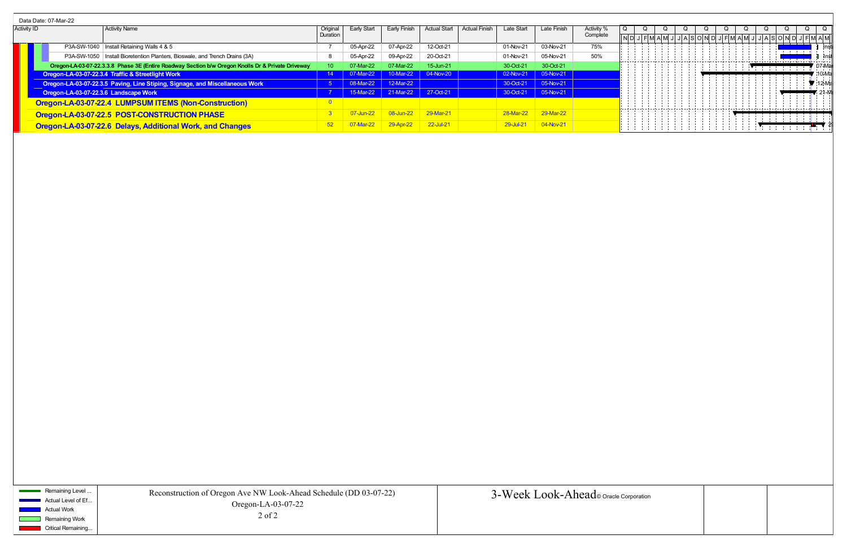|                    | Data Date: 07-Mar-22 |  |                                                                                                    |          |             |                               |                     |                                    |                      |            |  |  |  |  |  |  |                                         |  |          |
|--------------------|----------------------|--|----------------------------------------------------------------------------------------------------|----------|-------------|-------------------------------|---------------------|------------------------------------|----------------------|------------|--|--|--|--|--|--|-----------------------------------------|--|----------|
| <b>Activity ID</b> |                      |  | <b>Activity Name</b>                                                                               | Original | Early Start | Larlv                         | <b>Actual Start</b> | <b>Actual Finish</b><br>Late Start | Late Finish          | Activity % |  |  |  |  |  |  |                                         |  |          |
|                    |                      |  |                                                                                                    | Duration |             |                               |                     |                                    |                      | Complete   |  |  |  |  |  |  |                                         |  |          |
|                    |                      |  | P3A-SW-1040   Install Retaining Walls 4 & 5                                                        |          | 05-Apr-22   | 07-Apr-22                     | 12-Oct-21           | 01-Nov-21                          | 03-Nov-21            | 75%        |  |  |  |  |  |  |                                         |  | d ins    |
|                    |                      |  | P3A-SW-1050   Install Bioretention Planters, Bioswale, and Trench Drains (3A)                      |          | 05-Apr-22   | 09-Apr-22                     | 20-Oct-21           | 01-Nov-21                          | 05-Nov-21            | 50%        |  |  |  |  |  |  |                                         |  | ⊣I lns   |
|                    |                      |  | Oregon-LA-03-07-22.3.3.8 Phase 3E (Entire Roadway Section b/w Oregon Knolls Dr & Private Driveway) |          | )7-Mar-22   | 07-Mar-22                     | 15-Jun-21           | 30-Oct-21                          | 30-Oct-21            |            |  |  |  |  |  |  |                                         |  | 07-M     |
|                    |                      |  | Oregon-LA-03-07-22.3.4 Traffic & Streetlight Work                                                  |          | 07-Mar-22   |                               | 10-Mar-22 04-Nov-20 |                                    | 02-Nov-21 05-Nov-21  |            |  |  |  |  |  |  |                                         |  | $10-M$   |
|                    |                      |  | Oregon-LA-03-07-22.3.5 Paving, Line Stiping, Signage, and Miscellaneous Work                       |          | 08-Mar-22   | $12-Mar-22$                   |                     |                                    | 30-Oct-21 05-Nov-21  |            |  |  |  |  |  |  |                                         |  | 7 :12-M: |
|                    |                      |  | Oregon-LA-03-07-22.3.6 Landscape Work                                                              |          |             | 15-Mar-22 21-Mar-22 27-Oct-21 |                     |                                    | 30-Oct-21  05-Nov-21 |            |  |  |  |  |  |  |                                         |  |          |
|                    |                      |  | Oregon-LA-03-07-22.4 LUMPSUM ITEMS (Non-Construction)                                              |          |             |                               |                     |                                    |                      |            |  |  |  |  |  |  |                                         |  |          |
|                    |                      |  | Oregon-LA-03-07-22.5 POST-CONSTRUCTION PHASE                                                       |          | 07-Jun-22   | $08 - \frac{1}{2}$            | 29-Mar-21           | 28-Mar-22                          | 29-Mar-22            |            |  |  |  |  |  |  | . L L L L L L L L L L L L L L L L J L J |  |          |
|                    |                      |  | Oregon-LA-03-07-22.6 Delays, Additional Work, and Changes                                          |          | /-Mar-22    |                               | 22-Jul-21           | 29-Jul-21                          | $04-Nov-2$           |            |  |  |  |  |  |  |                                         |  |          |

Remaining Level ... Actual Level of Ef... Actual Work

> Remaining Work **Critical Remaining...**

 $\sim 10^{-10}$ 

| Corporation |  |
|-------------|--|
|             |  |
|             |  |